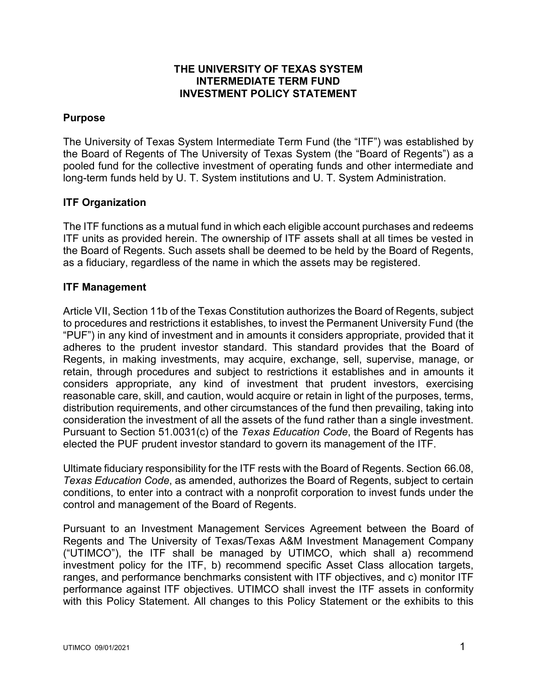#### **THE UNIVERSITY OF TEXAS SYSTEM INTERMEDIATE TERM FUND INVESTMENT POLICY STATEMENT**

## **Purpose**

The University of Texas System Intermediate Term Fund (the "ITF") was established by the Board of Regents of The University of Texas System (the "Board of Regents") as a pooled fund for the collective investment of operating funds and other intermediate and long-term funds held by U. T. System institutions and U. T. System Administration.

# **ITF Organization**

The ITF functions as a mutual fund in which each eligible account purchases and redeems ITF units as provided herein. The ownership of ITF assets shall at all times be vested in the Board of Regents. Such assets shall be deemed to be held by the Board of Regents, as a fiduciary, regardless of the name in which the assets may be registered.

#### **ITF Management**

Article VII, Section 11b of the Texas Constitution authorizes the Board of Regents, subject to procedures and restrictions it establishes, to invest the Permanent University Fund (the "PUF") in any kind of investment and in amounts it considers appropriate, provided that it adheres to the prudent investor standard. This standard provides that the Board of Regents, in making investments, may acquire, exchange, sell, supervise, manage, or retain, through procedures and subject to restrictions it establishes and in amounts it considers appropriate, any kind of investment that prudent investors, exercising reasonable care, skill, and caution, would acquire or retain in light of the purposes, terms, distribution requirements, and other circumstances of the fund then prevailing, taking into consideration the investment of all the assets of the fund rather than a single investment. Pursuant to Section 51.0031(c) of the *Texas Education Code*, the Board of Regents has elected the PUF prudent investor standard to govern its management of the ITF.

Ultimate fiduciary responsibility for the ITF rests with the Board of Regents. Section 66.08, *Texas Education Code*, as amended, authorizes the Board of Regents, subject to certain conditions, to enter into a contract with a nonprofit corporation to invest funds under the control and management of the Board of Regents.

Pursuant to an Investment Management Services Agreement between the Board of Regents and The University of Texas/Texas A&M Investment Management Company ("UTIMCO"), the ITF shall be managed by UTIMCO, which shall a) recommend investment policy for the ITF, b) recommend specific Asset Class allocation targets, ranges, and performance benchmarks consistent with ITF objectives, and c) monitor ITF performance against ITF objectives. UTIMCO shall invest the ITF assets in conformity with this Policy Statement. All changes to this Policy Statement or the exhibits to this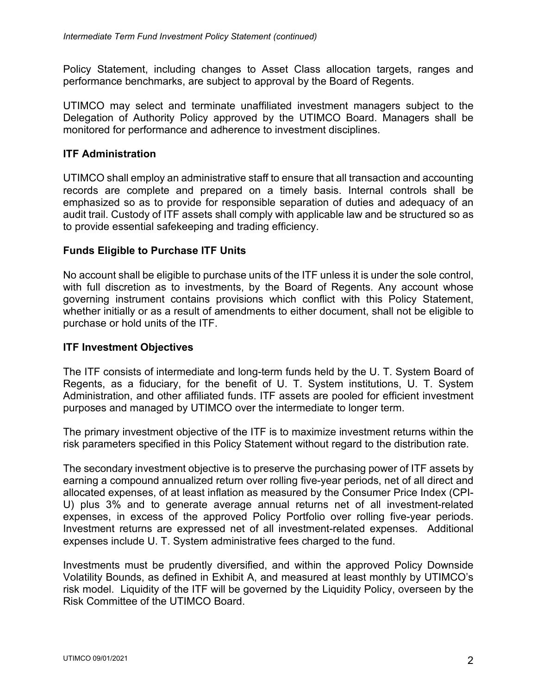Policy Statement, including changes to Asset Class allocation targets, ranges and performance benchmarks, are subject to approval by the Board of Regents.

UTIMCO may select and terminate unaffiliated investment managers subject to the Delegation of Authority Policy approved by the UTIMCO Board. Managers shall be monitored for performance and adherence to investment disciplines.

## **ITF Administration**

UTIMCO shall employ an administrative staff to ensure that all transaction and accounting records are complete and prepared on a timely basis. Internal controls shall be emphasized so as to provide for responsible separation of duties and adequacy of an audit trail. Custody of ITF assets shall comply with applicable law and be structured so as to provide essential safekeeping and trading efficiency.

#### **Funds Eligible to Purchase ITF Units**

No account shall be eligible to purchase units of the ITF unless it is under the sole control, with full discretion as to investments, by the Board of Regents. Any account whose governing instrument contains provisions which conflict with this Policy Statement, whether initially or as a result of amendments to either document, shall not be eligible to purchase or hold units of the ITF.

## **ITF Investment Objectives**

The ITF consists of intermediate and long-term funds held by the U. T. System Board of Regents, as a fiduciary, for the benefit of U. T. System institutions, U. T. System Administration, and other affiliated funds. ITF assets are pooled for efficient investment purposes and managed by UTIMCO over the intermediate to longer term.

The primary investment objective of the ITF is to maximize investment returns within the risk parameters specified in this Policy Statement without regard to the distribution rate.

The secondary investment objective is to preserve the purchasing power of ITF assets by earning a compound annualized return over rolling five-year periods, net of all direct and allocated expenses, of at least inflation as measured by the Consumer Price Index (CPI-U) plus 3% and to generate average annual returns net of all investment-related expenses, in excess of the approved Policy Portfolio over rolling five-year periods. Investment returns are expressed net of all investment-related expenses. Additional expenses include U. T. System administrative fees charged to the fund.

Investments must be prudently diversified, and within the approved Policy Downside Volatility Bounds, as defined in Exhibit A, and measured at least monthly by UTIMCO's risk model. Liquidity of the ITF will be governed by the Liquidity Policy, overseen by the Risk Committee of the UTIMCO Board.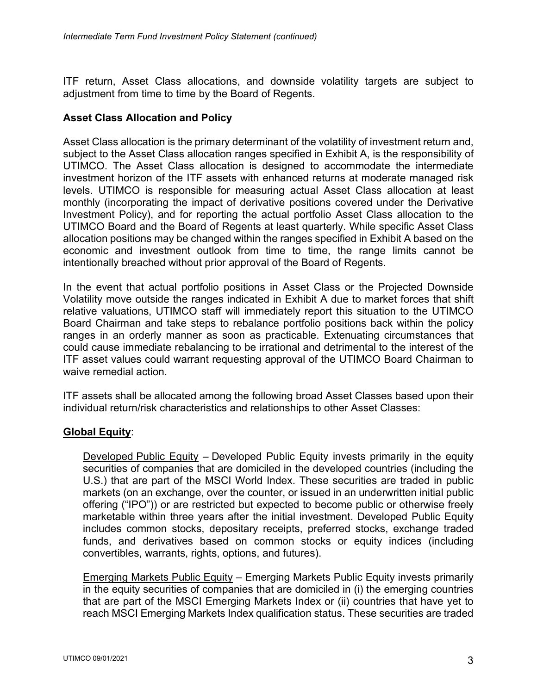ITF return, Asset Class allocations, and downside volatility targets are subject to adjustment from time to time by the Board of Regents.

# **Asset Class Allocation and Policy**

Asset Class allocation is the primary determinant of the volatility of investment return and, subject to the Asset Class allocation ranges specified in Exhibit A, is the responsibility of UTIMCO. The Asset Class allocation is designed to accommodate the intermediate investment horizon of the ITF assets with enhanced returns at moderate managed risk levels. UTIMCO is responsible for measuring actual Asset Class allocation at least monthly (incorporating the impact of derivative positions covered under the Derivative Investment Policy), and for reporting the actual portfolio Asset Class allocation to the UTIMCO Board and the Board of Regents at least quarterly. While specific Asset Class allocation positions may be changed within the ranges specified in Exhibit A based on the economic and investment outlook from time to time, the range limits cannot be intentionally breached without prior approval of the Board of Regents.

In the event that actual portfolio positions in Asset Class or the Projected Downside Volatility move outside the ranges indicated in Exhibit A due to market forces that shift relative valuations, UTIMCO staff will immediately report this situation to the UTIMCO Board Chairman and take steps to rebalance portfolio positions back within the policy ranges in an orderly manner as soon as practicable. Extenuating circumstances that could cause immediate rebalancing to be irrational and detrimental to the interest of the ITF asset values could warrant requesting approval of the UTIMCO Board Chairman to waive remedial action.

ITF assets shall be allocated among the following broad Asset Classes based upon their individual return/risk characteristics and relationships to other Asset Classes:

# **Global Equity**:

Developed Public Equity – Developed Public Equity invests primarily in the equity securities of companies that are domiciled in the developed countries (including the U.S.) that are part of the MSCI World Index. These securities are traded in public markets (on an exchange, over the counter, or issued in an underwritten initial public offering ("IPO")) or are restricted but expected to become public or otherwise freely marketable within three years after the initial investment. Developed Public Equity includes common stocks, depositary receipts, preferred stocks, exchange traded funds, and derivatives based on common stocks or equity indices (including convertibles, warrants, rights, options, and futures).

Emerging Markets Public Equity – Emerging Markets Public Equity invests primarily in the equity securities of companies that are domiciled in (i) the emerging countries that are part of the MSCI Emerging Markets Index or (ii) countries that have yet to reach MSCI Emerging Markets Index qualification status. These securities are traded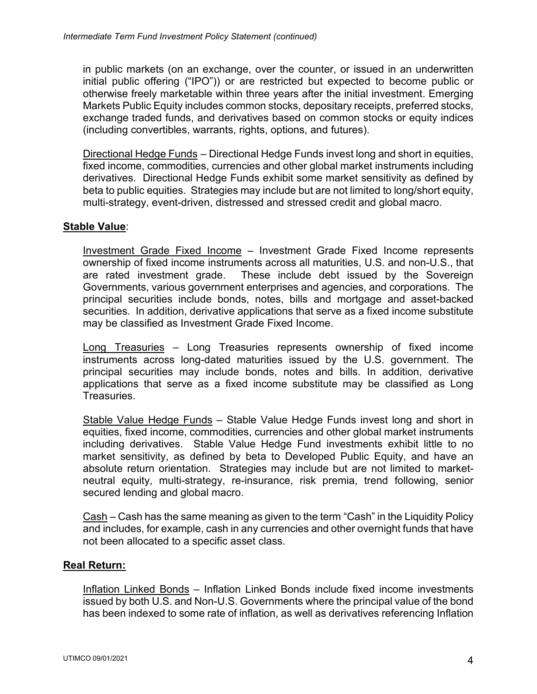in public markets (on an exchange, over the counter, or issued in an underwritten initial public offering ("IPO")) or are restricted but expected to become public or otherwise freely marketable within three years after the initial investment. Emerging Markets Public Equity includes common stocks, depositary receipts, preferred stocks, exchange traded funds, and derivatives based on common stocks or equity indices (including convertibles, warrants, rights, options, and futures).

Directional Hedge Funds – Directional Hedge Funds invest long and short in equities, fixed income, commodities, currencies and other global market instruments including derivatives. Directional Hedge Funds exhibit some market sensitivity as defined by beta to public equities. Strategies may include but are not limited to long/short equity, multi-strategy, event-driven, distressed and stressed credit and global macro.

# **Stable Value**:

Investment Grade Fixed Income – Investment Grade Fixed Income represents ownership of fixed income instruments across all maturities, U.S. and non-U.S., that are rated investment grade. These include debt issued by the Sovereign Governments, various government enterprises and agencies, and corporations. The principal securities include bonds, notes, bills and mortgage and asset-backed securities. In addition, derivative applications that serve as a fixed income substitute may be classified as Investment Grade Fixed Income.

Long Treasuries – Long Treasuries represents ownership of fixed income instruments across long-dated maturities issued by the U.S. government. The principal securities may include bonds, notes and bills. In addition, derivative applications that serve as a fixed income substitute may be classified as Long Treasuries.

Stable Value Hedge Funds – Stable Value Hedge Funds invest long and short in equities, fixed income, commodities, currencies and other global market instruments including derivatives. Stable Value Hedge Fund investments exhibit little to no market sensitivity, as defined by beta to Developed Public Equity, and have an absolute return orientation. Strategies may include but are not limited to marketneutral equity, multi-strategy, re-insurance, risk premia, trend following, senior secured lending and global macro.

Cash – Cash has the same meaning as given to the term "Cash" in the Liquidity Policy and includes, for example, cash in any currencies and other overnight funds that have not been allocated to a specific asset class.

#### **Real Return:**

Inflation Linked Bonds – Inflation Linked Bonds include fixed income investments issued by both U.S. and Non-U.S. Governments where the principal value of the bond has been indexed to some rate of inflation, as well as derivatives referencing Inflation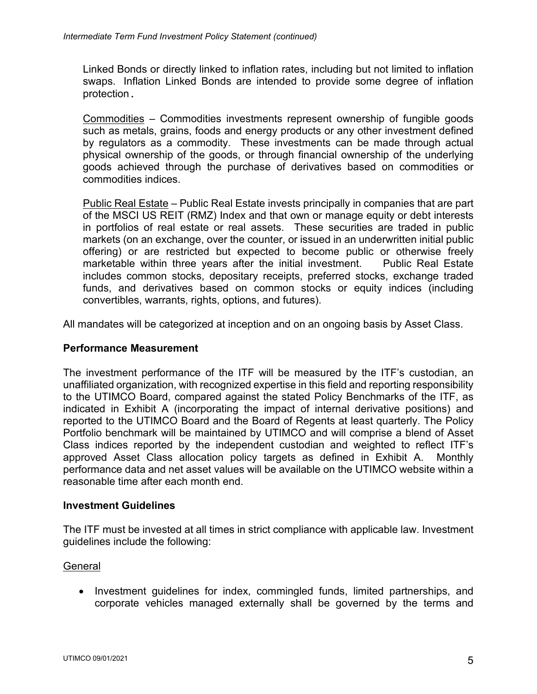Linked Bonds or directly linked to inflation rates, including but not limited to inflation swaps. Inflation Linked Bonds are intended to provide some degree of inflation protection.

Commodities – Commodities investments represent ownership of fungible goods such as metals, grains, foods and energy products or any other investment defined by regulators as a commodity. These investments can be made through actual physical ownership of the goods, or through financial ownership of the underlying goods achieved through the purchase of derivatives based on commodities or commodities indices.

Public Real Estate – Public Real Estate invests principally in companies that are part of the MSCI US REIT (RMZ) Index and that own or manage equity or debt interests in portfolios of real estate or real assets. These securities are traded in public markets (on an exchange, over the counter, or issued in an underwritten initial public offering) or are restricted but expected to become public or otherwise freely marketable within three years after the initial investment. Public Real Estate includes common stocks, depositary receipts, preferred stocks, exchange traded funds, and derivatives based on common stocks or equity indices (including convertibles, warrants, rights, options, and futures).

All mandates will be categorized at inception and on an ongoing basis by Asset Class.

## **Performance Measurement**

The investment performance of the ITF will be measured by the ITF's custodian, an unaffiliated organization, with recognized expertise in this field and reporting responsibility to the UTIMCO Board, compared against the stated Policy Benchmarks of the ITF, as indicated in Exhibit A (incorporating the impact of internal derivative positions) and reported to the UTIMCO Board and the Board of Regents at least quarterly. The Policy Portfolio benchmark will be maintained by UTIMCO and will comprise a blend of Asset Class indices reported by the independent custodian and weighted to reflect ITF's approved Asset Class allocation policy targets as defined in Exhibit A. Monthly performance data and net asset values will be available on the UTIMCO website within a reasonable time after each month end.

#### **Investment Guidelines**

The ITF must be invested at all times in strict compliance with applicable law. Investment guidelines include the following:

#### **General**

• Investment guidelines for index, commingled funds, limited partnerships, and corporate vehicles managed externally shall be governed by the terms and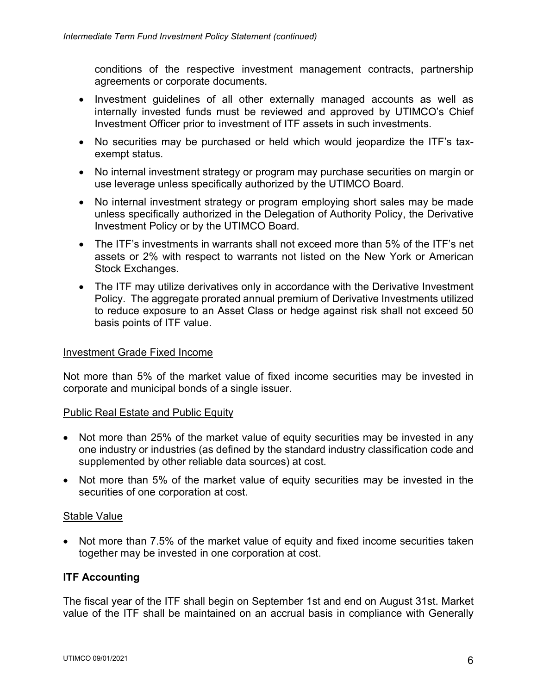conditions of the respective investment management contracts, partnership agreements or corporate documents.

- Investment guidelines of all other externally managed accounts as well as internally invested funds must be reviewed and approved by UTIMCO's Chief Investment Officer prior to investment of ITF assets in such investments.
- No securities may be purchased or held which would jeopardize the ITF's taxexempt status.
- No internal investment strategy or program may purchase securities on margin or use leverage unless specifically authorized by the UTIMCO Board.
- No internal investment strategy or program employing short sales may be made unless specifically authorized in the Delegation of Authority Policy, the Derivative Investment Policy or by the UTIMCO Board.
- The ITF's investments in warrants shall not exceed more than 5% of the ITF's net assets or 2% with respect to warrants not listed on the New York or American Stock Exchanges.
- The ITF may utilize derivatives only in accordance with the Derivative Investment Policy. The aggregate prorated annual premium of Derivative Investments utilized to reduce exposure to an Asset Class or hedge against risk shall not exceed 50 basis points of ITF value.

#### Investment Grade Fixed Income

Not more than 5% of the market value of fixed income securities may be invested in corporate and municipal bonds of a single issuer.

#### Public Real Estate and Public Equity

- Not more than 25% of the market value of equity securities may be invested in any one industry or industries (as defined by the standard industry classification code and supplemented by other reliable data sources) at cost.
- Not more than 5% of the market value of equity securities may be invested in the securities of one corporation at cost.

#### Stable Value

• Not more than 7.5% of the market value of equity and fixed income securities taken together may be invested in one corporation at cost.

#### **ITF Accounting**

The fiscal year of the ITF shall begin on September 1st and end on August 31st. Market value of the ITF shall be maintained on an accrual basis in compliance with Generally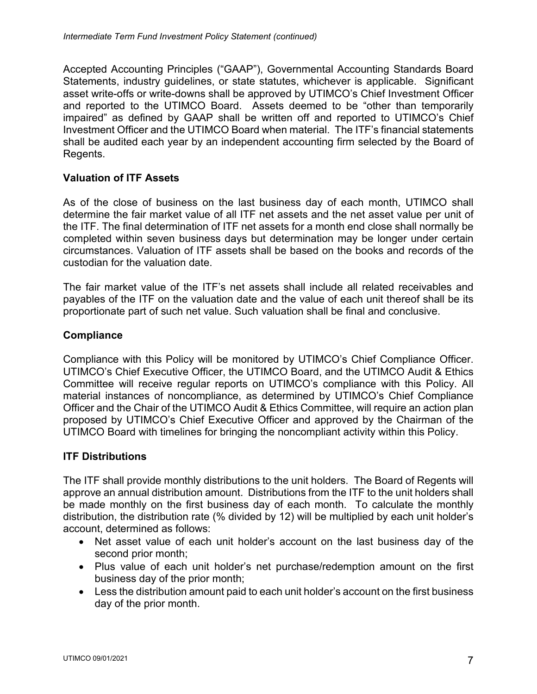Accepted Accounting Principles ("GAAP"), Governmental Accounting Standards Board Statements, industry guidelines, or state statutes, whichever is applicable. Significant asset write-offs or write-downs shall be approved by UTIMCO's Chief Investment Officer and reported to the UTIMCO Board. Assets deemed to be "other than temporarily impaired" as defined by GAAP shall be written off and reported to UTIMCO's Chief Investment Officer and the UTIMCO Board when material. The ITF's financial statements shall be audited each year by an independent accounting firm selected by the Board of Regents.

## **Valuation of ITF Assets**

As of the close of business on the last business day of each month, UTIMCO shall determine the fair market value of all ITF net assets and the net asset value per unit of the ITF. The final determination of ITF net assets for a month end close shall normally be completed within seven business days but determination may be longer under certain circumstances. Valuation of ITF assets shall be based on the books and records of the custodian for the valuation date.

The fair market value of the ITF's net assets shall include all related receivables and payables of the ITF on the valuation date and the value of each unit thereof shall be its proportionate part of such net value. Such valuation shall be final and conclusive.

## **Compliance**

Compliance with this Policy will be monitored by UTIMCO's Chief Compliance Officer. UTIMCO's Chief Executive Officer, the UTIMCO Board, and the UTIMCO Audit & Ethics Committee will receive regular reports on UTIMCO's compliance with this Policy. All material instances of noncompliance, as determined by UTIMCO's Chief Compliance Officer and the Chair of the UTIMCO Audit & Ethics Committee, will require an action plan proposed by UTIMCO's Chief Executive Officer and approved by the Chairman of the UTIMCO Board with timelines for bringing the noncompliant activity within this Policy.

#### **ITF Distributions**

The ITF shall provide monthly distributions to the unit holders. The Board of Regents will approve an annual distribution amount. Distributions from the ITF to the unit holders shall be made monthly on the first business day of each month. To calculate the monthly distribution, the distribution rate (% divided by 12) will be multiplied by each unit holder's account, determined as follows:

- Net asset value of each unit holder's account on the last business day of the second prior month;
- Plus value of each unit holder's net purchase/redemption amount on the first business day of the prior month;
- Less the distribution amount paid to each unit holder's account on the first business day of the prior month.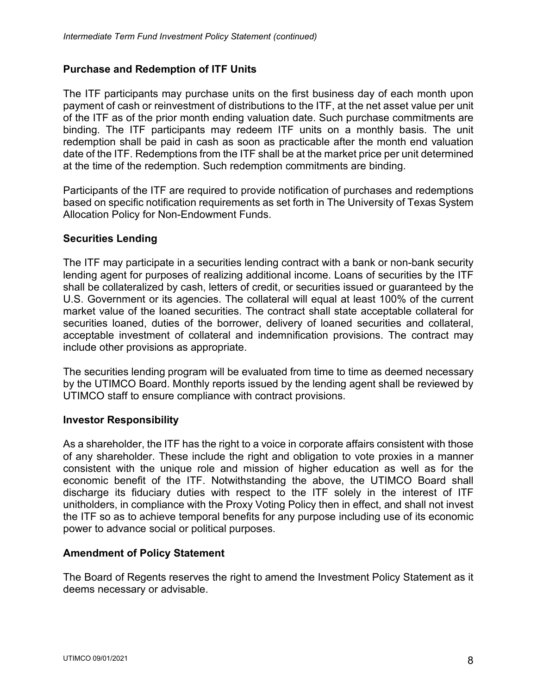# **Purchase and Redemption of ITF Units**

The ITF participants may purchase units on the first business day of each month upon payment of cash or reinvestment of distributions to the ITF, at the net asset value per unit of the ITF as of the prior month ending valuation date. Such purchase commitments are binding. The ITF participants may redeem ITF units on a monthly basis. The unit redemption shall be paid in cash as soon as practicable after the month end valuation date of the ITF. Redemptions from the ITF shall be at the market price per unit determined at the time of the redemption. Such redemption commitments are binding.

Participants of the ITF are required to provide notification of purchases and redemptions based on specific notification requirements as set forth in The University of Texas System Allocation Policy for Non-Endowment Funds.

#### **Securities Lending**

The ITF may participate in a securities lending contract with a bank or non-bank security lending agent for purposes of realizing additional income. Loans of securities by the ITF shall be collateralized by cash, letters of credit, or securities issued or guaranteed by the U.S. Government or its agencies. The collateral will equal at least 100% of the current market value of the loaned securities. The contract shall state acceptable collateral for securities loaned, duties of the borrower, delivery of loaned securities and collateral, acceptable investment of collateral and indemnification provisions. The contract may include other provisions as appropriate.

The securities lending program will be evaluated from time to time as deemed necessary by the UTIMCO Board. Monthly reports issued by the lending agent shall be reviewed by UTIMCO staff to ensure compliance with contract provisions.

#### **Investor Responsibility**

As a shareholder, the ITF has the right to a voice in corporate affairs consistent with those of any shareholder. These include the right and obligation to vote proxies in a manner consistent with the unique role and mission of higher education as well as for the economic benefit of the ITF. Notwithstanding the above, the UTIMCO Board shall discharge its fiduciary duties with respect to the ITF solely in the interest of ITF unitholders, in compliance with the Proxy Voting Policy then in effect, and shall not invest the ITF so as to achieve temporal benefits for any purpose including use of its economic power to advance social or political purposes.

#### **Amendment of Policy Statement**

The Board of Regents reserves the right to amend the Investment Policy Statement as it deems necessary or advisable.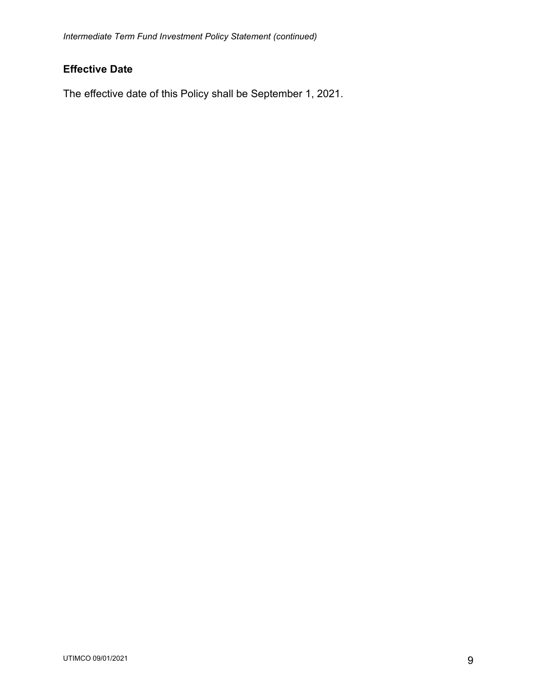# **Effective Date**

The effective date of this Policy shall be September 1, 2021.